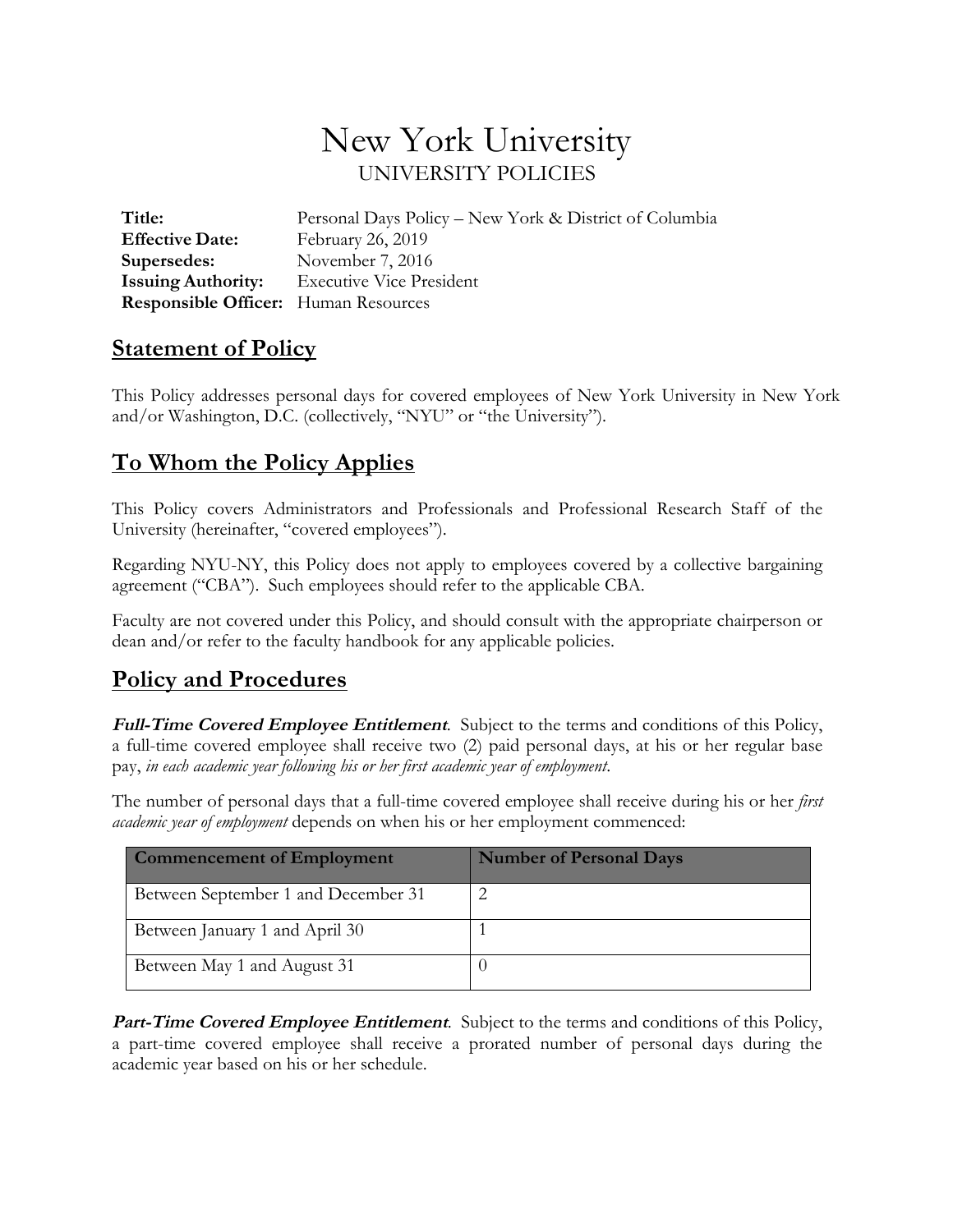## New York University UNIVERSITY POLICIES

 **Responsible Officer:** Human Resources **Title:** Personal Days Policy – New York & District of Columbia **Effective Date:** February 26, 2019 **Supersedes:** November 7, 2016 **Issuing Authority:** Executive Vice President

## **<u>Statement of Policy</u>**

 This Policy addresses personal days for covered employees of New York University in New York and/or Washington, D.C. (collectively, "NYU" or "the University").

## **To Whom the Policy Applies**

 This Policy covers Administrators and Professionals and Professional Research Staff of the University (hereinafter, "covered employees").

 Regarding NYU-NY, this Policy does not apply to employees covered by a collective bargaining agreement ("CBA"). Such employees should refer to the applicable CBA.

 Faculty are not covered under this Policy, and should consult with the appropriate chairperson or dean and/or refer to the faculty handbook for any applicable policies.

## **Policy and Procedures**

Full-Time Covered Employee Entitlement. Subject to the terms and conditions of this Policy, a full-time covered employee shall receive two (2) paid personal days, at his or her regular base pay, *in each academic year following his or her first academic year of employment*.

 The number of personal days that a full-time covered employee shall receive during his or her *first academic year of employment* depends on when his or her employment commenced:

| <b>Commencement of Employment</b>   | <b>Number of Personal Days</b> |
|-------------------------------------|--------------------------------|
| Between September 1 and December 31 |                                |
| Between January 1 and April 30      |                                |
| Between May 1 and August 31         |                                |

Part-Time Covered Employee Entitlement. Subject to the terms and conditions of this Policy, a part-time covered employee shall receive a prorated number of personal days during the academic year based on his or her schedule.